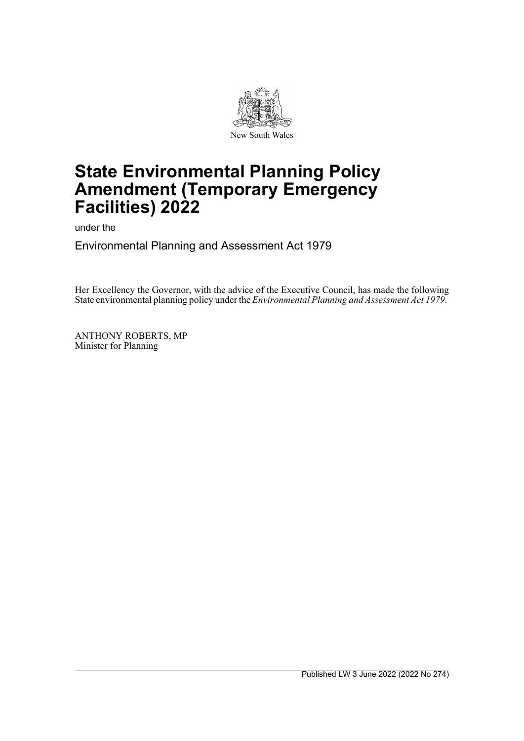

# **State Environmental Planning Policy Amendment (Temporary Emergency Facilities) 2022**

under the

Environmental Planning and Assessment Act 1979

Her Excellency the Governor, with the advice of the Executive Council, has made the following State environmental planning policy under the *Environmental Planning and Assessment Act 1979*.

ANTHONY ROBERTS, MP Minister for Planning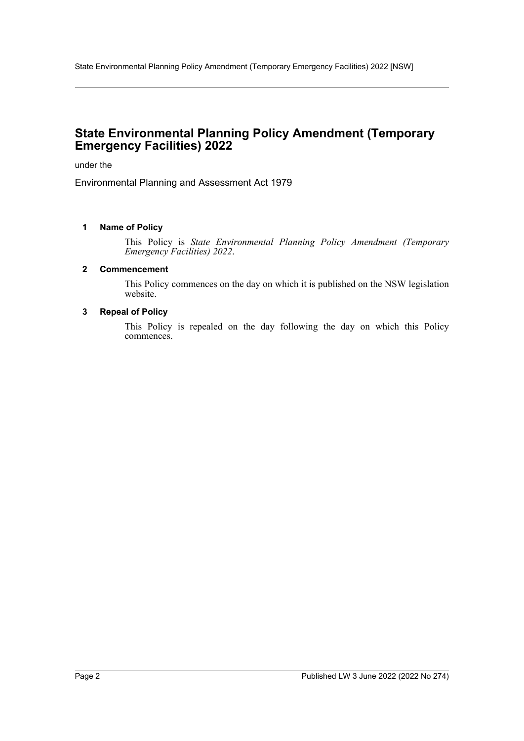## **State Environmental Planning Policy Amendment (Temporary Emergency Facilities) 2022**

under the

Environmental Planning and Assessment Act 1979

### **1 Name of Policy**

This Policy is *State Environmental Planning Policy Amendment (Temporary Emergency Facilities) 2022*.

#### **2 Commencement**

This Policy commences on the day on which it is published on the NSW legislation website.

#### **3 Repeal of Policy**

This Policy is repealed on the day following the day on which this Policy commences.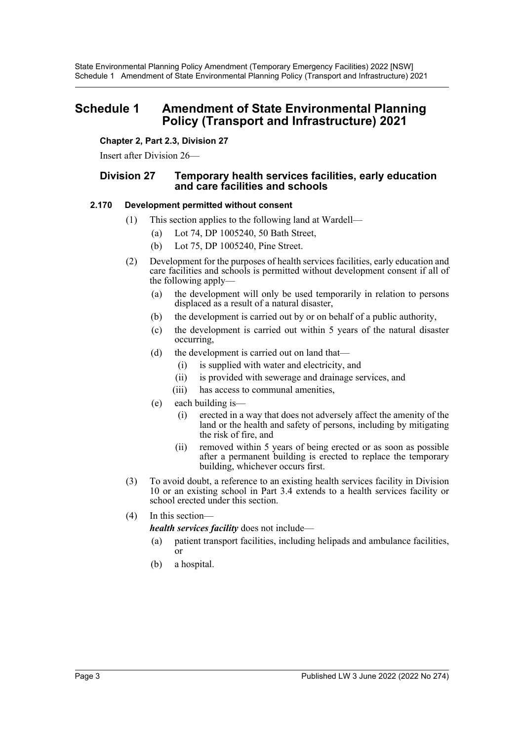### **Schedule 1 Amendment of State Environmental Planning Policy (Transport and Infrastructure) 2021**

**Chapter 2, Part 2.3, Division 27**

Insert after Division 26—

### **Division 27 Temporary health services facilities, early education and care facilities and schools**

### **2.170 Development permitted without consent**

- (1) This section applies to the following land at Wardell—
	- (a) Lot 74, DP 1005240, 50 Bath Street,
	- (b) Lot 75, DP 1005240, Pine Street.
- (2) Development for the purposes of health services facilities, early education and care facilities and schools is permitted without development consent if all of the following apply—
	- (a) the development will only be used temporarily in relation to persons displaced as a result of a natural disaster,
	- (b) the development is carried out by or on behalf of a public authority,
	- (c) the development is carried out within 5 years of the natural disaster occurring,
	- (d) the development is carried out on land that—
		- (i) is supplied with water and electricity, and
		- (ii) is provided with sewerage and drainage services, and
		- (iii) has access to communal amenities,
	- (e) each building is—
		- (i) erected in a way that does not adversely affect the amenity of the land or the health and safety of persons, including by mitigating the risk of fire, and
		- (ii) removed within 5 years of being erected or as soon as possible after a permanent building is erected to replace the temporary building, whichever occurs first.
- (3) To avoid doubt, a reference to an existing health services facility in Division 10 or an existing school in Part 3.4 extends to a health services facility or school erected under this section.
- (4) In this section—

*health services facility* does not include—

- (a) patient transport facilities, including helipads and ambulance facilities, or
- (b) a hospital.